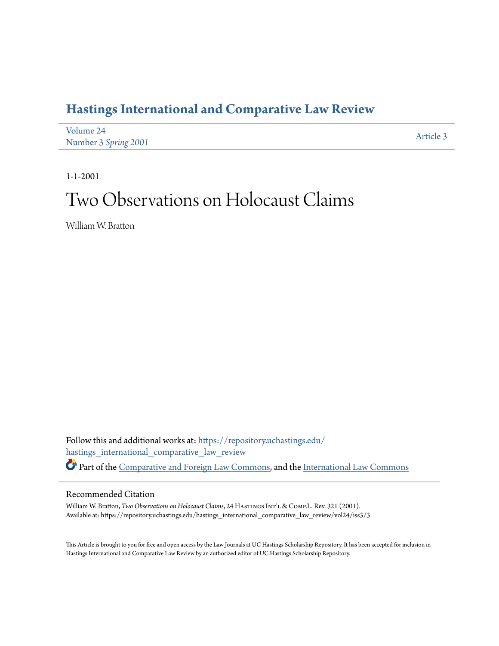## **[Hastings International and Comparative Law Review](https://repository.uchastings.edu/hastings_international_comparative_law_review?utm_source=repository.uchastings.edu%2Fhastings_international_comparative_law_review%2Fvol24%2Fiss3%2F3&utm_medium=PDF&utm_campaign=PDFCoverPages)**

| Volume 24            | Article 3 |
|----------------------|-----------|
| Number 3 Spring 2001 |           |

1-1-2001

# Two Observations on Holocaust Claims

William W. Bratton

Follow this and additional works at: [https://repository.uchastings.edu/](https://repository.uchastings.edu/hastings_international_comparative_law_review?utm_source=repository.uchastings.edu%2Fhastings_international_comparative_law_review%2Fvol24%2Fiss3%2F3&utm_medium=PDF&utm_campaign=PDFCoverPages) [hastings\\_international\\_comparative\\_law\\_review](https://repository.uchastings.edu/hastings_international_comparative_law_review?utm_source=repository.uchastings.edu%2Fhastings_international_comparative_law_review%2Fvol24%2Fiss3%2F3&utm_medium=PDF&utm_campaign=PDFCoverPages) Part of the [Comparative and Foreign Law Commons](http://network.bepress.com/hgg/discipline/836?utm_source=repository.uchastings.edu%2Fhastings_international_comparative_law_review%2Fvol24%2Fiss3%2F3&utm_medium=PDF&utm_campaign=PDFCoverPages), and the [International Law Commons](http://network.bepress.com/hgg/discipline/609?utm_source=repository.uchastings.edu%2Fhastings_international_comparative_law_review%2Fvol24%2Fiss3%2F3&utm_medium=PDF&utm_campaign=PDFCoverPages)

#### Recommended Citation

William W. Bratton, *Two Observations on Holocaust Claims*, 24 HASTINGS INT'L & COMP.L. Rev. 321 (2001). Available at: https://repository.uchastings.edu/hastings\_international\_comparative\_law\_review/vol24/iss3/3

This Article is brought to you for free and open access by the Law Journals at UC Hastings Scholarship Repository. It has been accepted for inclusion in Hastings International and Comparative Law Review by an authorized editor of UC Hastings Scholarship Repository.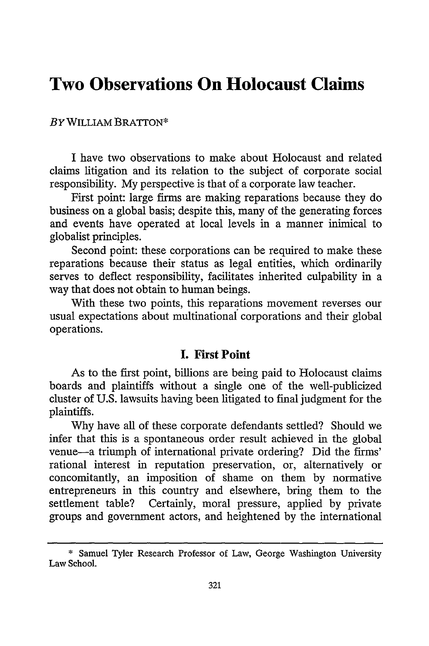### **Two Observations On Holocaust Claims**

*BY* WILLIAM BRATTON\*

I have two observations to make about Holocaust and related claims litigation and its relation to the subject of corporate social responsibility. My perspective is that of a corporate law teacher.

First point: large firms are making reparations because they do business on a global basis; despite this, many of the generating forces and events have operated at local levels in a manner inimical to globalist principles.

Second point: these corporations can be required to make these reparations because their status as legal entities, which ordinarily serves to deflect responsibility, facilitates inherited culpability in a way that does not obtain to human beings.

With these two points, this reparations movement reverses our usual expectations about multinational corporations and their global operations.

#### **I. First Point**

As to the first point, billions are being paid to Holocaust claims boards and plaintiffs without a single one of the well-publicized cluster of U.S. lawsuits having been litigated to final judgment for the plaintiffs.

Why have all of these corporate defendants settled? Should we infer that this is a spontaneous order result achieved in the global venue-a triumph of international private ordering? Did the firms' rational interest in reputation preservation, or, alternatively or concomitantly, an imposition of shame on them by normative entrepreneurs in this country and elsewhere, bring them to the settlement table? Certainly, moral pressure, applied by private groups and government actors, and heightened by the international

<sup>\*</sup> Samuel Tyler Research Professor of Law, George Washington University Law School.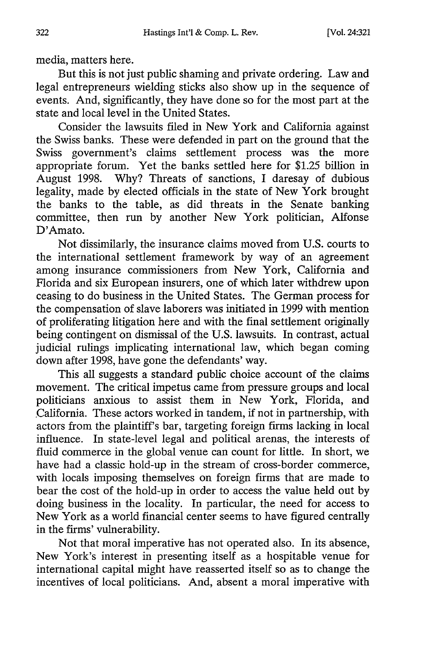media, matters here.

But this is not just public shaming and private ordering. Law and legal entrepreneurs wielding sticks also show up in the sequence of events. And, significantly, they have done so for the most part at the state and local level in the United States.

Consider the lawsuits filed in New York and California against the Swiss banks. These were defended in part on the ground that the Swiss government's claims settlement process was the more appropriate forum. Yet the banks settled here for \$1.25 billion in August 1998. Why? Threats of sanctions, I daresay of dubious legality, made by elected officials in the state of New York brought the banks to the table, as did threats in the Senate banking committee, then run by another New York politician, Alfonse D'Amato.

Not dissimilarly, the insurance claims moved from U.S. courts to the international settlement framework by way of an agreement among insurance commissioners from New York, California and Florida and six European insurers, one of which later withdrew upon ceasing to do business in the United States. The German process for the compensation of slave laborers was initiated in 1999 with mention of proliferating litigation here and with the final settlement originally being contingent on dismissal of the U.S. lawsuits. In contrast, actual judicial rulings implicating international law, which began coming down after 1998, have gone the defendants' way.

This all suggests a standard public choice account of the claims movement. The critical impetus came from pressure groups and local politicians anxious to assist them in New York, Florida, and .California. These actors worked in tandem, if not in partnership, with actors from the plaintiff's bar, targeting foreign firms lacking in local influence. In state-level legal and political arenas, the interests of fluid commerce in the global venue can count for little. In short, we have had a classic hold-up in the stream of cross-border commerce, with locals imposing themselves on foreign firms that are made to bear the cost of the hold-up in order to access the value held out by doing business in the locality. In particular, the need for access to New York as a world financial center seems to have figured centrally in the firms' vulnerability.

Not that moral imperative has not operated also. In its absence, New York's interest in presenting itself as a hospitable venue for international capital might have reasserted itself so as to change the incentives of local politicians. And, absent a moral imperative with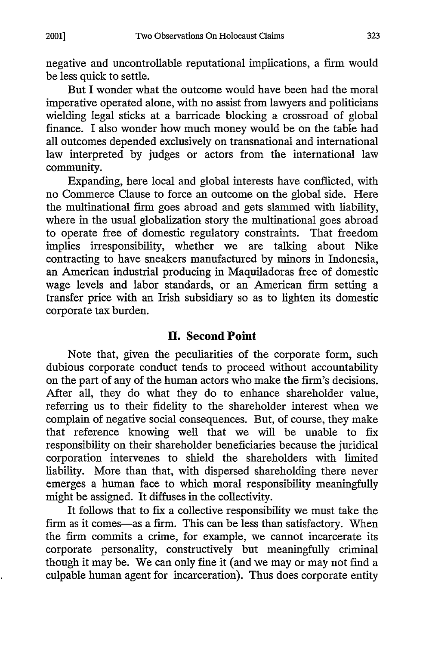negative and uncontrollable reputational implications, a firm would be less quick to settle.

But I wonder what the outcome would have been had the moral imperative operated alone, with no assist from lawyers and politicians wielding legal sticks at a barricade blocking a crossroad of global finance. I also wonder how much money would be on the table had all outcomes depended exclusively on transnational and international law interpreted by judges or actors from the international law community.

Expanding, here local and global interests have conflicted, with no Commerce Clause to force an outcome on the global side. Here the multinational firm goes abroad and gets slammed with liability, where in the usual globalization story the multinational goes abroad to operate free of domestic regulatory constraints. That freedom implies irresponsibility, whether we are talking about Nike contracting to have sneakers manufactured by minors in Indonesia, an American industrial producing in Maquiladoras free of domestic wage levels and labor standards, or an American firm setting a transfer price with an Irish subsidiary so as to lighten its domestic corporate tax burden.

### **II. Second Point**

Note that, given the peculiarities of the corporate form, such dubious corporate conduct tends to proceed without accountability on the part of any of the human actors who make the firm's decisions. After all, they do what they do to enhance shareholder value, referring us to their fidelity to the shareholder interest when we complain of negative social consequences. But, of course, they make that reference knowing well that we will be unable to fix responsibility on their shareholder beneficiaries because the juridical corporation intervenes to shield the shareholders with limited liability. More than that, with dispersed shareholding there never emerges a human face to which moral responsibility meaningfully might be assigned. It diffuses in the collectivity.

It follows that to fix a collective responsibility we must take the firm as it comes-as a firm. This can be less than satisfactory. When the firm commits a crime, for example, we cannot incarcerate its corporate personality, constructively but meaningfully criminal though it may be. We can only fine it (and we may or may not find a culpable human agent for incarceration). Thus does corporate entity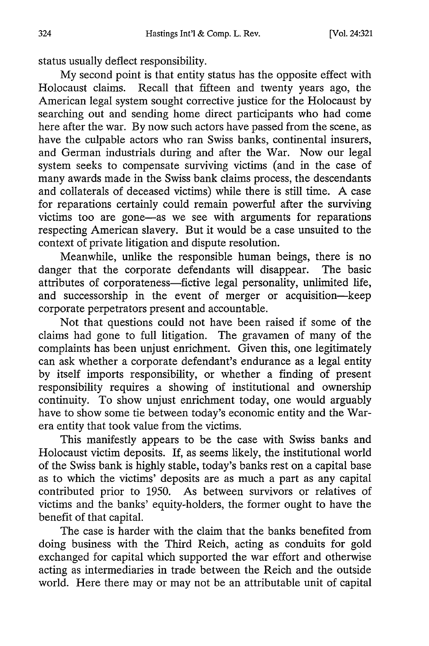status usually deflect responsibility.

My second point is that entity status has the opposite effect with Holocaust claims. Recall that fifteen and twenty years ago, the American legal system sought corrective justice for the Holocaust by searching out and sending home direct participants who had come here after the war. By now such actors have passed from the scene, as have the culpable actors who ran Swiss banks, continental insurers, and German industrials during and after the War. Now our legal system seeks to compensate surviving victims (and in the case of many awards made in the Swiss bank claims process, the descendants and collaterals of deceased victims) while there is still time. A case for reparations certainly could remain powerful after the surviving victims too are gone-as we see with arguments for reparations respecting American slavery. But it would be a case unsuited to the context of private litigation and dispute resolution.

Meanwhile, unlike the responsible human beings, there is no danger that the corporate defendants will disappear. The basic attributes of corporateness—fictive legal personality, unlimited life, and successorship in the event of merger or acquisition-keep corporate perpetrators present and accountable.

Not that questions could not have been raised if some of the claims had gone to full litigation. The gravamen of many of the complaints has been unjust enrichment. Given this, one legitimately can ask whether a corporate defendant's endurance as a legal entity by itself imports responsibility, or whether a finding of present responsibility requires a showing of institutional and ownership continuity. To show unjust enrichment today, one would arguably have to show some tie between today's economic entity and the Warera entity that took value from the victims.

This manifestly appears to be the case with Swiss banks and Holocaust victim deposits. If, as seems likely, the institutional world of the Swiss bank is highly stable, today's banks rest on a capital base as to which the victims' deposits are as much a part as any capital contributed prior to 1950. As between survivors or relatives of victims and the banks' equity-holders, the former ought to have the benefit of that capital.

The case is harder with the claim that the banks benefited from doing business with the Third Reich, acting as conduits for gold exchanged for capital which supported the war effort and otherwise acting as intermediaries in trade between the Reich and the outside world. Here there may or may not be an attributable unit of capital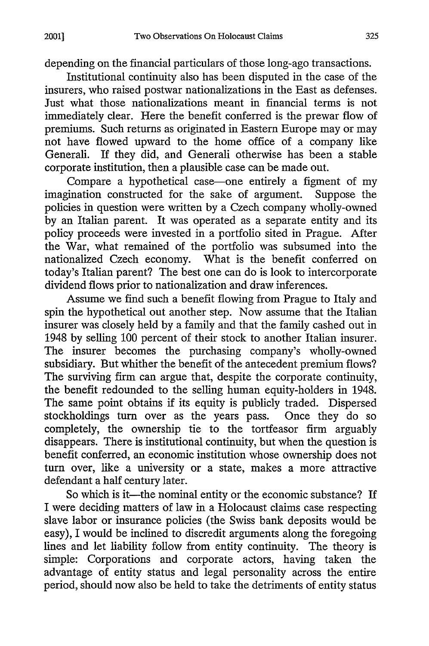depending on the financial particulars of those long-ago transactions.

Institutional continuity also has been disputed in the case of the insurers, who raised postwar nationalizations in the East as defenses. Just what those nationalizations meant in financial terms is not immediately clear. Here the benefit conferred is the prewar flow of premiums. Such returns as originated in Eastern Europe may or may not have flowed upward to the home office of a company like Generali. If they did, and Generali otherwise has been a stable corporate institution, then a plausible case can be made out.

Compare a hypothetical case—one entirely a figment of my imagination constructed for the sake of argument. Suppose the policies in question were written by a Czech company wholly-owned by an Italian parent. It was operated as a separate entity and its policy proceeds were invested in a portfolio sited in Prague. After the War, what remained of the portfolio was subsumed into the nationalized Czech economy. What is the benefit conferred on today's Italian parent? The best one can do is look to intercorporate dividend flows prior to nationalization and draw inferences.

Assume we find such a benefit flowing from Prague to Italy and spin the hypothetical out another step. Now assume that the Italian insurer was closely held by a family and that the family cashed out in 1948 by selling 100 percent of their stock to another Italian insurer. The insurer becomes the purchasing company's wholly-owned subsidiary. But whither the benefit of the antecedent premium flows? The surviving firm can argue that, despite the corporate continuity, the benefit redounded to the selling human equity-holders in 1948. The same point obtains if its equity is publicly traded. Dispersed stockholdings turn over as the years pass. Once they do so completely, the ownership tie to the tortfeasor firm arguably disappears. There is institutional continuity, but when the question is benefit conferred, an economic institution whose ownership does not turn over, like a university or a state, makes a more attractive defendant a half century later.

So which is it—the nominal entity or the economic substance? If I were deciding matters of law in a Holocaust claims case respecting slave labor or insurance policies (the Swiss bank deposits would be easy), I would be inclined to discredit arguments along the foregoing lines and let liability follow from entity continuity. The theory is simple: Corporations and corporate actors, having taken the advantage of entity status and legal personality across the entire period, should now also be held to take the detriments of entity status